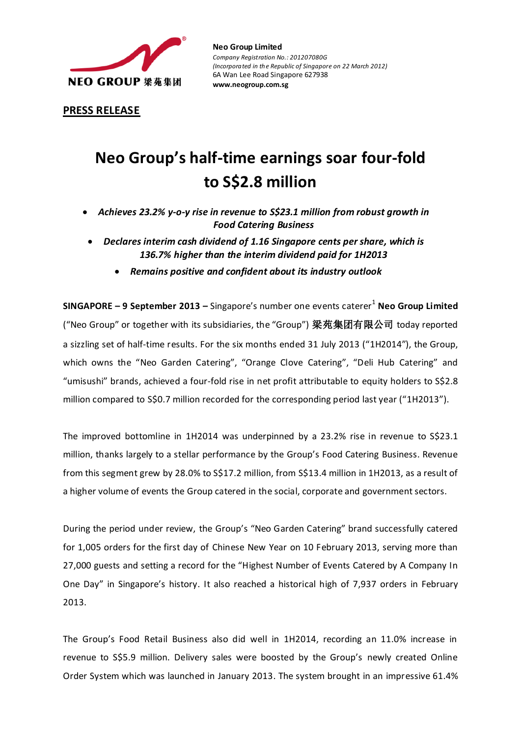

**Neo Group Limited**  *Company Registration No.: 201207080G (Incorporated in the Republic of Singapore on 22 March 2012)* 6A Wan Lee Road Singapore 627938 **www.neogroup.com.sg**

**PRESS RELEASE**

# **Neo Group's half-time earnings soar four-fold to S\$2.8 million**

- *Achieves 23.2% y-o-y rise in revenue to S\$23.1 million from robust growth in Food Catering Business*
- *Declares interim cash dividend of 1.16 Singapore cents per share, which is 136.7% higher than the interim dividend paid for 1H2013*
	- *Remains positive and confident about its industry outlook*

**SINGAPORE – 9 September 2013** – Singapore's number one events caterer<sup>1</sup> Neo Group Limited ("Neo Group" or together with its subsidiaries, the "Group") 梁苑集团有限公司 today reported a sizzling set of half-time results. For the six months ended 31 July 2013 ("1H2014"), the Group, which owns the "Neo Garden Catering", "Orange Clove Catering", "Deli Hub Catering" and "umisushi" brands, achieved a four-fold rise in net profit attributable to equity holders to S\$2.8 million compared to S\$0.7 million recorded for the corresponding period last year ("1H2013").

The improved bottomline in 1H2014 was underpinned by a 23.2% rise in revenue to S\$23.1 million, thanks largely to a stellar performance by the Group's Food Catering Business. Revenue from this segment grew by 28.0% to S\$17.2 million, from S\$13.4 million in 1H2013, as a result of a higher volume of events the Group catered in the social, corporate and government sectors.

During the period under review, the Group's "Neo Garden Catering" brand successfully catered for 1,005 orders for the first day of Chinese New Year on 10 February 2013, serving more than 27,000 guests and setting a record for the "Highest Number of Events Catered by A Company In One Day" in Singapore's history. It also reached a historical high of 7,937 orders in February 2013.

The Group's Food Retail Business also did well in 1H2014, recording an 11.0% increase in revenue to S\$5.9 million. Delivery sales were boosted by the Group's newly created Online Order System which was launched in January 2013. The system brought in an impressive 61.4%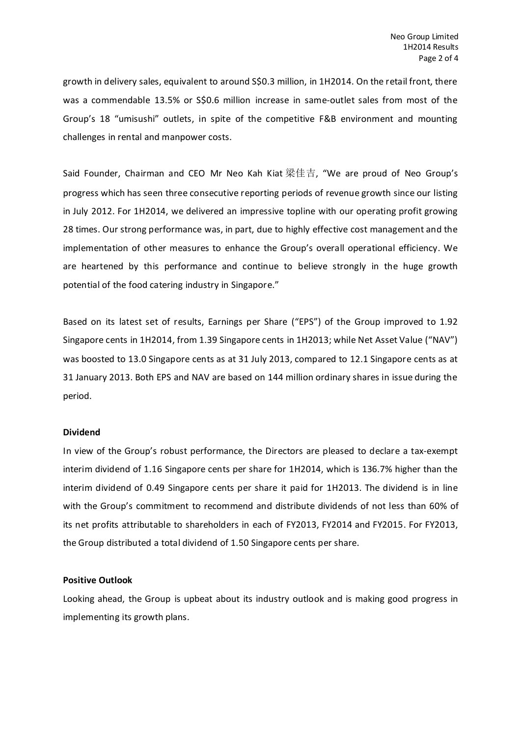growth in delivery sales, equivalent to around S\$0.3 million, in 1H2014. On the retail front, there was a commendable 13.5% or S\$0.6 million increase in same-outlet sales from most of the Group's 18 "umisushi" outlets, in spite of the competitive F&B environment and mounting challenges in rental and manpower costs.

Said Founder, Chairman and CEO Mr Neo Kah Kiat 梁佳吉, "We are proud of Neo Group's progress which has seen three consecutive reporting periods of revenue growth since our listing in July 2012. For 1H2014, we delivered an impressive topline with our operating profit growing 28 times. Our strong performance was, in part, due to highly effective cost management and the implementation of other measures to enhance the Group's overall operational efficiency. We are heartened by this performance and continue to believe strongly in the huge growth potential of the food catering industry in Singapore."

Based on its latest set of results, Earnings per Share ("EPS") of the Group improved to 1.92 Singapore cents in 1H2014, from 1.39 Singapore cents in 1H2013; while Net Asset Value ("NAV") was boosted to 13.0 Singapore cents as at 31 July 2013, compared to 12.1 Singapore cents as at 31 January 2013. Both EPS and NAV are based on 144 million ordinary shares in issue during the period.

## **Dividend**

In view of the Group's robust performance, the Directors are pleased to declare a tax-exempt interim dividend of 1.16 Singapore cents per share for 1H2014, which is 136.7% higher than the interim dividend of 0.49 Singapore cents per share it paid for 1H2013. The dividend is in line with the Group's commitment to recommend and distribute dividends of not less than 60% of its net profits attributable to shareholders in each of FY2013, FY2014 and FY2015. For FY2013, the Group distributed a total dividend of 1.50 Singapore cents per share.

## **Positive Outlook**

Looking ahead, the Group is upbeat about its industry outlook and is making good progress in implementing its growth plans.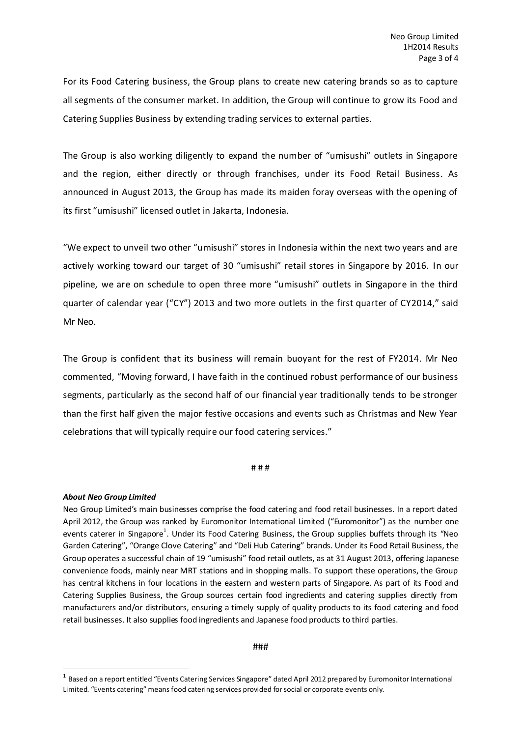For its Food Catering business, the Group plans to create new catering brands so as to capture all segments of the consumer market. In addition, the Group will continue to grow its Food and Catering Supplies Business by extending trading services to external parties.

The Group is also working diligently to expand the number of "umisushi" outlets in Singapore and the region, either directly or through franchises, under its Food Retail Business. As announced in August 2013, the Group has made its maiden foray overseas with the opening of its first "umisushi" licensed outlet in Jakarta, Indonesia.

"We expect to unveil two other "umisushi" stores in Indonesia within the next two years and are actively working toward our target of 30 "umisushi" retail stores in Singapore by 2016. In our pipeline, we are on schedule to open three more "umisushi" outlets in Singapore in the third quarter of calendar year ("CY") 2013 and two more outlets in the first quarter of CY2014," said Mr Neo.

The Group is confident that its business will remain buoyant for the rest of FY2014. Mr Neo commented, "Moving forward, I have faith in the continued robust performance of our business segments, particularly as the second half of our financial year traditionally tends to be stronger than the first half given the major festive occasions and events such as Christmas and New Year celebrations that will typically require our food catering services."

#### # # #

## *About Neo Group Limited*

 $\overline{a}$ 

Neo Group Limited's main businesses comprise the food catering and food retail businesses. In a report dated April 2012, the Group was ranked by Euromonitor International Limited ("Euromonitor") as the number one events caterer in Singapore<sup>1</sup>. Under its Food Catering Business, the Group supplies buffets through its "Neo Garden Catering", "Orange Clove Catering" and "Deli Hub Catering" brands. Under its Food Retail Business, the Group operates a successful chain of 19 "umisushi" food retail outlets, as at 31 August 2013, offering Japanese convenience foods, mainly near MRT stations and in shopping malls. To support these operations, the Group has central kitchens in four locations in the eastern and western parts of Singapore. As part of its Food and Catering Supplies Business, the Group sources certain food ingredients and catering supplies directly from manufacturers and/or distributors, ensuring a timely supply of quality products to its food catering and food retail businesses. It also supplies food ingredients and Japanese food products to third parties.

## ###

 $^{\rm 1}$  Based on a report entitled "Events Catering Services Singapore" dated April 2012 prepared by Euromonitor International Limited. "Events catering" means food catering services provided for social or corporate events only.